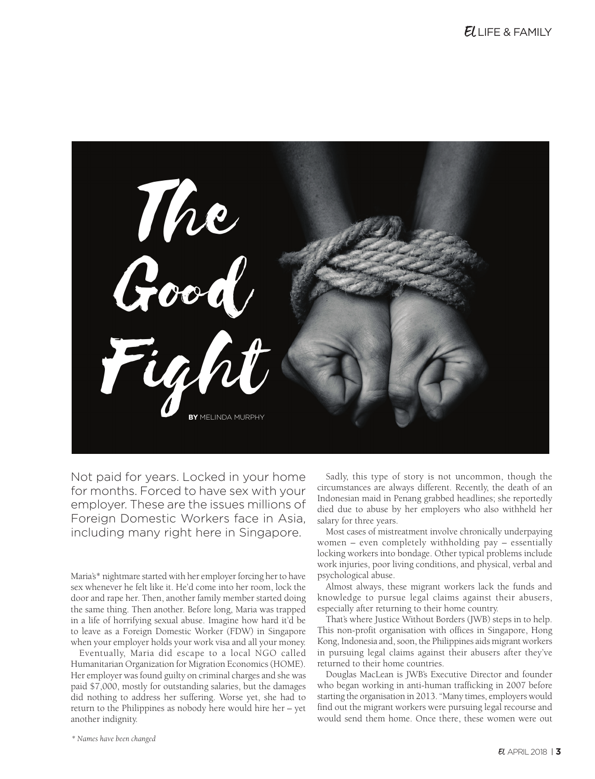

Not paid for years. Locked in your home for months. Forced to have sex with your employer. These are the issues millions of Foreign Domestic Workers face in Asia, including many right here in Singapore.

Maria's\* nightmare started with her employer forcing her to have sex whenever he felt like it. He'd come into her room, lock the door and rape her. Then, another family member started doing the same thing. Then another. Before long, Maria was trapped in a life of horrifying sexual abuse. Imagine how hard it'd be to leave as a Foreign Domestic Worker (FDW) in Singapore when your employer holds your work visa and all your money.

Eventually, Maria did escape to a local NGO called Humanitarian Organization for Migration Economics (HOME). Her employer was found guilty on criminal charges and she was paid \$7,000, mostly for outstanding salaries, but the damages did nothing to address her suffering. Worse yet, she had to return to the Philippines as nobody here would hire her – yet another indignity.

Sadly, this type of story is not uncommon, though the circumstances are always different. Recently, the death of an Indonesian maid in Penang grabbed headlines; she reportedly died due to abuse by her employers who also withheld her salary for three years.

Most cases of mistreatment involve chronically underpaying women – even completely withholding pay – essentially locking workers into bondage. Other typical problems include work injuries, poor living conditions, and physical, verbal and psychological abuse.

Almost always, these migrant workers lack the funds and knowledge to pursue legal claims against their abusers, especially after returning to their home country.

That's where Justice Without Borders (JWB) steps in to help. This non-profit organisation with offices in Singapore, Hong Kong, Indonesia and, soon, the Philippines aids migrant workers in pursuing legal claims against their abusers after they've returned to their home countries.

Douglas MacLean is JWB's Executive Director and founder who began working in anti-human trafficking in 2007 before starting the organisation in 2013. "Many times, employers would find out the migrant workers were pursuing legal recourse and would send them home. Once there, these women were out